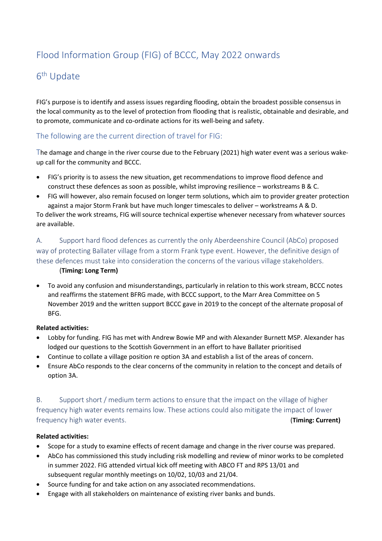# Flood Information Group (FIG) of BCCC, May 2022 onwards

# 6 th Update

FIG's purpose is to identify and assess issues regarding flooding, obtain the broadest possible consensus in the local community as to the level of protection from flooding that is realistic, obtainable and desirable, and to promote, communicate and co-ordinate actions for its well-being and safety.

### The following are the current direction of travel for FIG:

The damage and change in the river course due to the February (2021) high water event was a serious wakeup call for the community and BCCC.

- FIG's priority is to assess the new situation, get recommendations to improve flood defence and construct these defences as soon as possible, whilst improving resilience – workstreams B & C.
- FIG will however, also remain focused on longer term solutions, which aim to provider greater protection against a major Storm Frank but have much longer timescales to deliver – workstreams A & D.

To deliver the work streams, FIG will source technical expertise whenever necessary from whatever sources are available.

A. Support hard flood defences as currently the only Aberdeenshire Council (AbCo) proposed way of protecting Ballater village from a storm Frank type event. However, the definitive design of these defences must take into consideration the concerns of the various village stakeholders.

#### (**Timing: Long Term)**

• To avoid any confusion and misunderstandings, particularly in relation to this work stream, BCCC notes and reaffirms the statement BFRG made, with BCCC support, to the Marr Area Committee on 5 November 2019 and the written support BCCC gave in 2019 to the concept of the alternate proposal of BFG.

#### **Related activities:**

- Lobby for funding. FIG has met with Andrew Bowie MP and with Alexander Burnett MSP. Alexander has lodged our questions to the Scottish Government in an effort to have Ballater prioritised
- Continue to collate a village position re option 3A and establish a list of the areas of concern.
- Ensure AbCo responds to the clear concerns of the community in relation to the concept and details of option 3A.

B. Support short / medium term actions to ensure that the impact on the village of higher frequency high water events remains low. These actions could also mitigate the impact of lower frequency high water events. (**Timing: Current)**

#### **Related activities:**

- Scope for a study to examine effects of recent damage and change in the river course was prepared.
- AbCo has commissioned this study including risk modelling and review of minor works to be completed in summer 2022. FIG attended virtual kick off meeting with ABCO FT and RPS 13/01 and subsequent regular monthly meetings on 10/02, 10/03 and 21/04.
- Source funding for and take action on any associated recommendations.
- Engage with all stakeholders on maintenance of existing river banks and bunds.